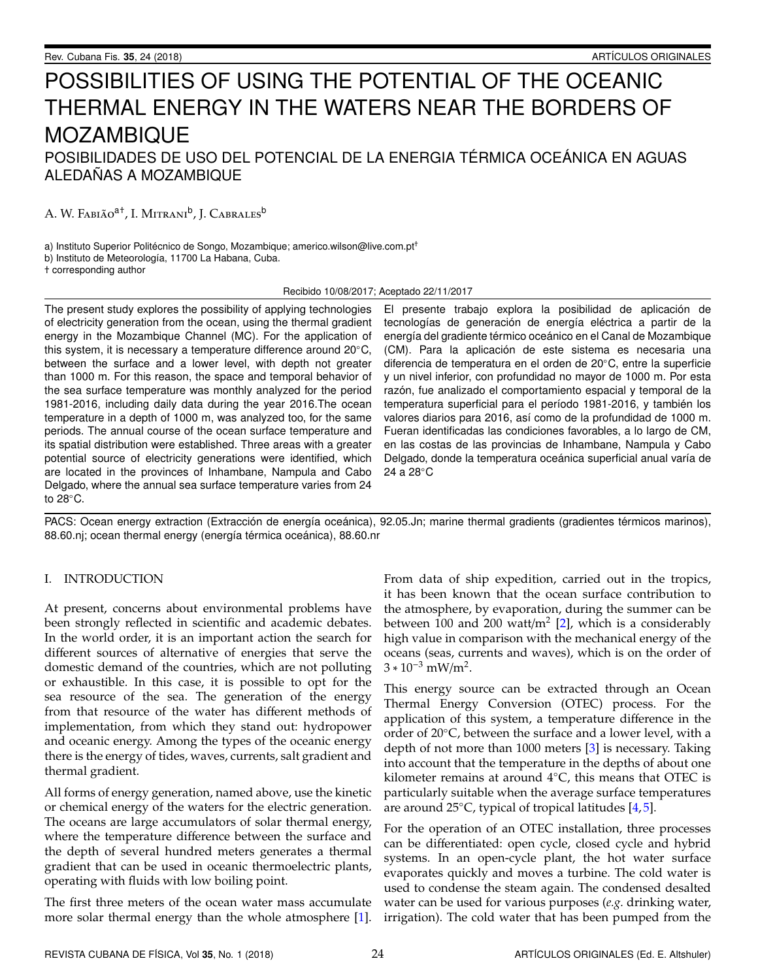# POSSIBILITIES OF USING THE POTENTIAL OF THE OCEANIC THERMAL ENERGY IN THE WATERS NEAR THE BORDERS OF MOZAMBIQUE

# POSIBILIDADES DE USO DEL POTENCIAL DE LA ENERGIA TÉRMICA OCEÁNICA EN AGUAS ALEDAÑAS A MOZAMBIQUE

A. W. Fabião<sup>a†</sup>, I. Mitrani<sup>b</sup>, J. Cabrales<sup>b</sup>

a) Instituto Superior Politécnico de Songo, Mozambique; americo.wilson@live.com.pt<sup>+</sup>

b) Instituto de Meteorología, 11700 La Habana, Cuba.

† corresponding author

Recibido 10/08/2017; Aceptado 22/11/2017

The present study explores the possibility of applying technologies of electricity generation from the ocean, using the thermal gradient energy in the Mozambique Channel (MC). For the application of this system, it is necessary a temperature difference around 20◦C, between the surface and a lower level, with depth not greater than 1000 m. For this reason, the space and temporal behavior of the sea surface temperature was monthly analyzed for the period 1981-2016, including daily data during the year 2016.The ocean temperature in a depth of 1000 m, was analyzed too, for the same periods. The annual course of the ocean surface temperature and its spatial distribution were established. Three areas with a greater potential source of electricity generations were identified, which are located in the provinces of Inhambane, Nampula and Cabo Delgado, where the annual sea surface temperature varies from 24 to 28◦C.

El presente trabajo explora la posibilidad de aplicación de tecnologías de generación de energía eléctrica a partir de la energía del gradiente térmico oceánico en el Canal de Mozambique (CM). Para la aplicación de este sistema es necesaria una diferencia de temperatura en el orden de 20◦C, entre la superficie y un nivel inferior, con profundidad no mayor de 1000 m. Por esta razón, fue analizado el comportamiento espacial y temporal de la temperatura superficial para el período 1981-2016, y también los valores diarios para 2016, así como de la profundidad de 1000 m. Fueran identificadas las condiciones favorables, a lo largo de CM, en las costas de las provincias de Inhambane, Nampula y Cabo Delgado, donde la temperatura oceánica superficial anual varía de 24 a 28◦C

PACS: Ocean energy extraction (Extracción de energía oceánica), 92.05.Jn; marine thermal gradients (gradientes térmicos marinos), 88.60.nj; ocean thermal energy (energía térmica oceánica), 88.60.nr

### I. INTRODUCTION

At present, concerns about environmental problems have been strongly reflected in scientific and academic debates. In the world order, it is an important action the search for different sources of alternative of energies that serve the domestic demand of the countries, which are not polluting or exhaustible. In this case, it is possible to opt for the sea resource of the sea. The generation of the energy from that resource of the water has different methods of implementation, from which they stand out: hydropower and oceanic energy. Among the types of the oceanic energy there is the energy of tides, waves, currents, salt gradient and thermal gradient.

All forms of energy generation, named above, use the kinetic or chemical energy of the waters for the electric generation. The oceans are large accumulators of solar thermal energy, where the temperature difference between the surface and the depth of several hundred meters generates a thermal gradient that can be used in oceanic thermoelectric plants, operating with fluids with low boiling point.

The first three meters of the ocean water mass accumulate more solar thermal energy than the whole atmosphere [\[1\]](#page-7-0).

From data of ship expedition, carried out in the tropics, it has been known that the ocean surface contribution to the atmosphere, by evaporation, during the summer can be between 100 and 200 watt/m $^2$  [\[2\]](#page-7-1), which is a considerably high value in comparison with the mechanical energy of the oceans (seas, currents and waves), which is on the order of  $3 * 10^{-3}$  mW/m<sup>2</sup>.

This energy source can be extracted through an Ocean Thermal Energy Conversion (OTEC) process. For the application of this system, a temperature difference in the order of 20◦C, between the surface and a lower level, with a depth of not more than 1000 meters [\[3\]](#page-7-2) is necessary. Taking into account that the temperature in the depths of about one kilometer remains at around  $4°C$ , this means that OTEC is particularly suitable when the average surface temperatures are around  $25^{\circ}$ C, typical of tropical latitudes [\[4,](#page-7-3)[5\]](#page-7-4).

For the operation of an OTEC installation, three processes can be differentiated: open cycle, closed cycle and hybrid systems. In an open-cycle plant, the hot water surface evaporates quickly and moves a turbine. The cold water is used to condense the steam again. The condensed desalted water can be used for various purposes (*e.g.* drinking water, irrigation). The cold water that has been pumped from the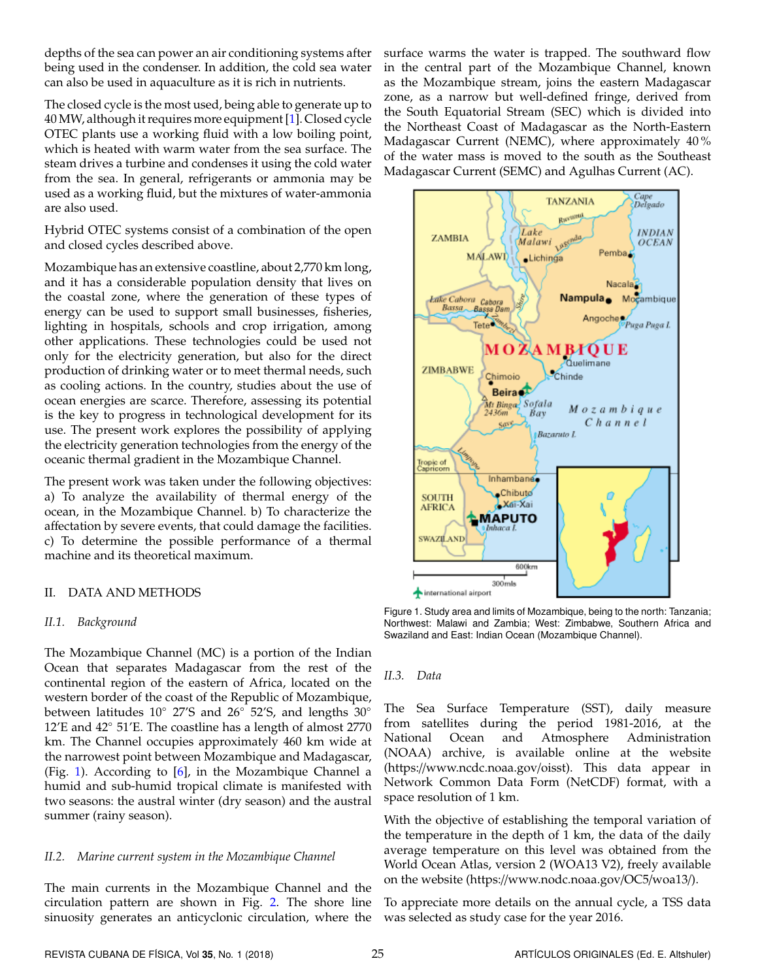depths of the sea can power an air conditioning systems after being used in the condenser. In addition, the cold sea water can also be used in aquaculture as it is rich in nutrients.

The closed cycle is the most used, being able to generate up to 40 MW, although it requires more equipment [\[1\]](#page-7-0). Closed cycle OTEC plants use a working fluid with a low boiling point, which is heated with warm water from the sea surface. The steam drives a turbine and condenses it using the cold water from the sea. In general, refrigerants or ammonia may be used as a working fluid, but the mixtures of water-ammonia are also used.

Hybrid OTEC systems consist of a combination of the open and closed cycles described above.

Mozambique has an extensive coastline, about 2,770 km long, and it has a considerable population density that lives on the coastal zone, where the generation of these types of energy can be used to support small businesses, fisheries, lighting in hospitals, schools and crop irrigation, among other applications. These technologies could be used not only for the electricity generation, but also for the direct production of drinking water or to meet thermal needs, such as cooling actions. In the country, studies about the use of ocean energies are scarce. Therefore, assessing its potential is the key to progress in technological development for its use. The present work explores the possibility of applying the electricity generation technologies from the energy of the oceanic thermal gradient in the Mozambique Channel.

The present work was taken under the following objectives: a) To analyze the availability of thermal energy of the ocean, in the Mozambique Channel. b) To characterize the affectation by severe events, that could damage the facilities. c) To determine the possible performance of a thermal machine and its theoretical maximum.

## II. DATA AND METHODS

#### *II.1. Background*

The Mozambique Channel (MC) is a portion of the Indian Ocean that separates Madagascar from the rest of the continental region of the eastern of Africa, located on the western border of the coast of the Republic of Mozambique, between latitudes 10◦ 27'S and 26◦ 52'S, and lengths 30◦ 12'E and 42◦ 51'E. The coastline has a length of almost 2770 km. The Channel occupies approximately 460 km wide at the narrowest point between Mozambique and Madagascar, (Fig. [1\)](#page-1-0). According to [\[6\]](#page-7-5), in the Mozambique Channel a humid and sub-humid tropical climate is manifested with two seasons: the austral winter (dry season) and the austral summer (rainy season).

#### *II.2. Marine current system in the Mozambique Channel*

The main currents in the Mozambique Channel and the circulation pattern are shown in Fig. [2.](#page-2-0) The shore line sinuosity generates an anticyclonic circulation, where the surface warms the water is trapped. The southward flow in the central part of the Mozambique Channel, known as the Mozambique stream, joins the eastern Madagascar zone, as a narrow but well-defined fringe, derived from the South Equatorial Stream (SEC) which is divided into the Northeast Coast of Madagascar as the North-Eastern Madagascar Current (NEMC), where approximately 40 % of the water mass is moved to the south as the Southeast Madagascar Current (SEMC) and Agulhas Current (AC).

<span id="page-1-0"></span>

Figure 1. Study area and limits of Mozambique, being to the north: Tanzania; Northwest: Malawi and Zambia; West: Zimbabwe, Southern Africa and Swaziland and East: Indian Ocean (Mozambique Channel).

#### *II.3. Data*

The Sea Surface Temperature (SST), daily measure from satellites during the period 1981-2016, at the National Ocean and Atmosphere Administration (NOAA) archive, is available online at the website (https://www.ncdc.noaa.gov/oisst). This data appear in Network Common Data Form (NetCDF) format, with a space resolution of 1 km.

With the objective of establishing the temporal variation of the temperature in the depth of 1 km, the data of the daily average temperature on this level was obtained from the World Ocean Atlas, version 2 (WOA13 V2), freely available on the website (https://www.nodc.noaa.gov/OC5/woa13/).

To appreciate more details on the annual cycle, a TSS data was selected as study case for the year 2016.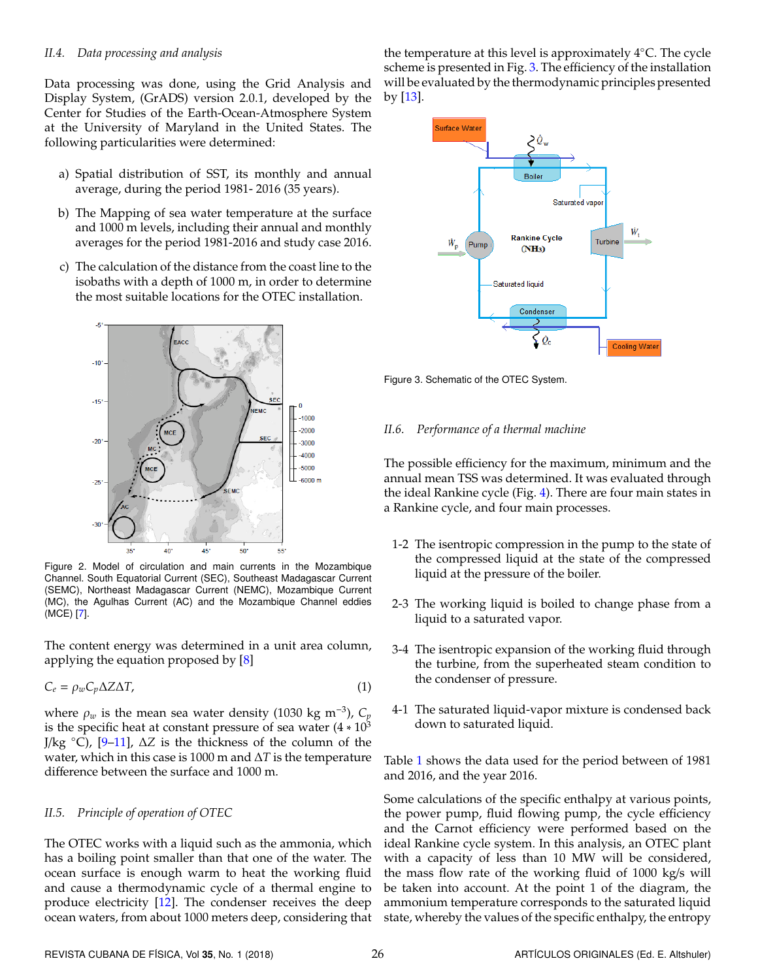#### *II.4. Data processing and analysis*

Data processing was done, using the Grid Analysis and Display System, (GrADS) version 2.0.1, developed by the Center for Studies of the Earth-Ocean-Atmosphere System at the University of Maryland in the United States. The following particularities were determined:

- a) Spatial distribution of SST, its monthly and annual average, during the period 1981- 2016 (35 years).
- b) The Mapping of sea water temperature at the surface and 1000 m levels, including their annual and monthly averages for the period 1981-2016 and study case 2016.
- c) The calculation of the distance from the coast line to the isobaths with a depth of 1000 m, in order to determine the most suitable locations for the OTEC installation.

<span id="page-2-0"></span>

Figure 2. Model of circulation and main currents in the Mozambique Channel. South Equatorial Current (SEC), Southeast Madagascar Current (SEMC), Northeast Madagascar Current (NEMC), Mozambique Current (MC), the Agulhas Current (AC) and the Mozambique Channel eddies (MCE) [\[7\]](#page-7-6).

The content energy was determined in a unit area column, applying the equation proposed by [\[8\]](#page-7-7)

$$
C_e = \rho_w C_p \Delta Z \Delta T,\tag{1}
$$

where  $\rho_w$  is the mean sea water density (1030 kg m<sup>-3</sup>),  $C_p$ is the specific heat at constant pressure of sea water  $(4 * 10<sup>3</sup>)$ J/kg ◦C), [\[9](#page-7-8)[–11\]](#page-7-9), ∆*Z* is the thickness of the column of the water, which in this case is 1000 m and ∆*T* is the temperature difference between the surface and 1000 m.

#### *II.5. Principle of operation of OTEC*

The OTEC works with a liquid such as the ammonia, which has a boiling point smaller than that one of the water. The ocean surface is enough warm to heat the working fluid and cause a thermodynamic cycle of a thermal engine to produce electricity [\[12\]](#page-7-10). The condenser receives the deep ocean waters, from about 1000 meters deep, considering that the temperature at this level is approximately 4◦C. The cycle scheme is presented in Fig. [3.](#page-2-1) The efficiency of the installation will be evaluated by the thermodynamic principles presented by [\[13\]](#page-7-11).

<span id="page-2-1"></span>

Figure 3. Schematic of the OTEC System.

#### *II.6. Performance of a thermal machine*

The possible efficiency for the maximum, minimum and the annual mean TSS was determined. It was evaluated through the ideal Rankine cycle (Fig. [4\)](#page-3-0). There are four main states in a Rankine cycle, and four main processes.

- 1-2 The isentropic compression in the pump to the state of the compressed liquid at the state of the compressed liquid at the pressure of the boiler.
- 2-3 The working liquid is boiled to change phase from a liquid to a saturated vapor.
- 3-4 The isentropic expansion of the working fluid through the turbine, from the superheated steam condition to the condenser of pressure.
- 4-1 The saturated liquid-vapor mixture is condensed back down to saturated liquid.

Table [1](#page-3-1) shows the data used for the period between of 1981 and 2016, and the year 2016.

Some calculations of the specific enthalpy at various points, the power pump, fluid flowing pump, the cycle efficiency and the Carnot efficiency were performed based on the ideal Rankine cycle system. In this analysis, an OTEC plant with a capacity of less than 10 MW will be considered, the mass flow rate of the working fluid of 1000 kg/s will be taken into account. At the point 1 of the diagram, the ammonium temperature corresponds to the saturated liquid state, whereby the values of the specific enthalpy, the entropy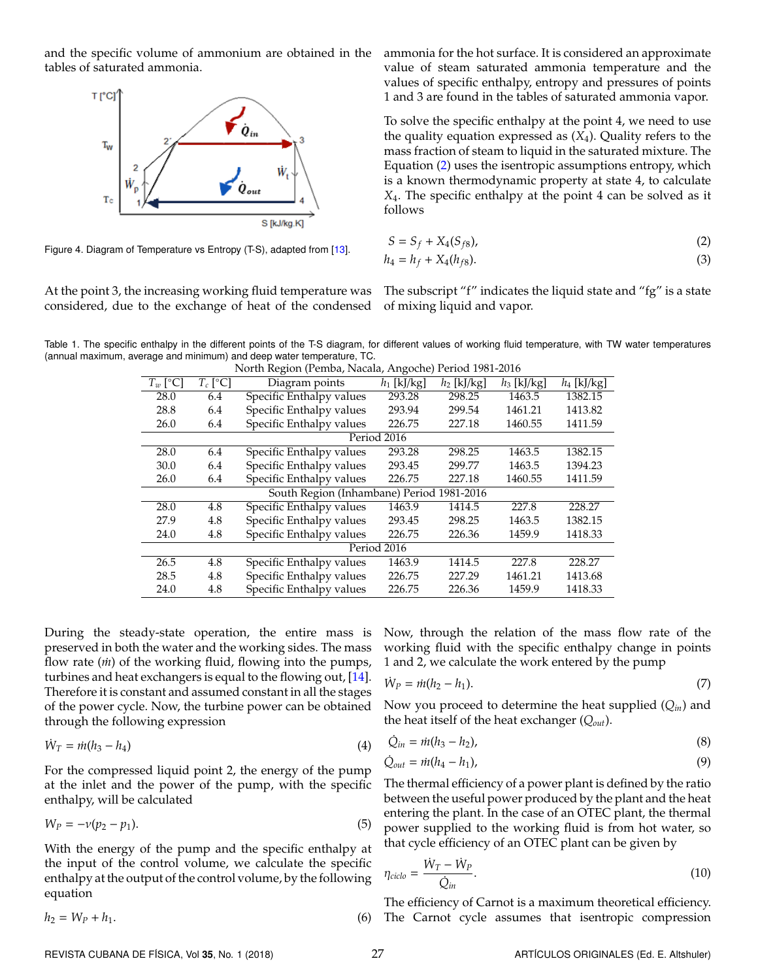<span id="page-3-0"></span>and the specific volume of ammonium are obtained in the tables of saturated ammonia.



Figure 4. Diagram of Temperature vs Entropy (T-S), adapted from [\[13\]](#page-7-11).

At the point 3, the increasing working fluid temperature was considered, due to the exchange of heat of the condensed

ammonia for the hot surface. It is considered an approximate value of steam saturated ammonia temperature and the values of specific enthalpy, entropy and pressures of points 1 and 3 are found in the tables of saturated ammonia vapor.

To solve the specific enthalpy at the point 4, we need to use the quality equation expressed as (*X*4). Quality refers to the mass fraction of steam to liquid in the saturated mixture. The Equation [\(2\)](#page-3-2) uses the isentropic assumptions entropy, which is a known thermodynamic property at state 4, to calculate *X*4. The specific enthalpy at the point 4 can be solved as it follows

<span id="page-3-2"></span>
$$
S = S_f + X_4(S_{f8}),\tag{2}
$$

$$
h_4 = h_f + X_4(h_{f8}).
$$
\n(3)

The subscript "f" indicates the liquid state and "fg" is a state of mixing liquid and vapor.

<span id="page-3-1"></span>Table 1. The specific enthalpy in the different points of the T-S diagram, for different values of working fluid temperature, with TW water temperatures (annual maximum, average and minimum) and deep water temperature, TC.

| North Region (Pemba, Nacala, Angoche) Period 1981-2016 |            |                                                         |                          |               |               |               |
|--------------------------------------------------------|------------|---------------------------------------------------------|--------------------------|---------------|---------------|---------------|
| $T_w$ [°C]                                             | $T_c$ [°C] | Diagram points                                          | $\overline{h_1}$ [kJ/kg] | $h_2$ [kJ/kg] | $h_3$ [kJ/kg] | $h_4$ [kJ/kg] |
| 28.0                                                   | 6.4        | Specific Enthalpy values                                | 293.28                   | 298.25        | 1463.5        | 1382.15       |
| 28.8                                                   | 6.4        | Specific Enthalpy values                                | 293.94                   | 299.54        | 1461.21       | 1413.82       |
| 26.0                                                   | 6.4        | Specific Enthalpy values<br>226.75<br>227.18            |                          | 1460.55       | 1411.59       |               |
| Period 2016                                            |            |                                                         |                          |               |               |               |
| 28.0                                                   | 6.4        | Specific Enthalpy values                                | 293.28                   | 298.25        | 1463.5        | 1382.15       |
| 30.0                                                   | 6.4        | Specific Enthalpy values                                | 293.45                   | 299.77        | 1463.5        | 1394.23       |
| 26.0                                                   | 6.4        | Specific Enthalpy values<br>227.18<br>1460.55<br>226.75 |                          | 1411.59       |               |               |
| South Region (Inhambane) Period 1981-2016              |            |                                                         |                          |               |               |               |
| 28.0                                                   | 4.8        | Specific Enthalpy values                                | 1463.9                   | 1414.5        | 227.8         | 228.27        |
| 27.9                                                   | 4.8        | Specific Enthalpy values                                | 293.45                   | 298.25        | 1463.5        | 1382.15       |
| 24.0                                                   | 4.8        | Specific Enthalpy values                                | 226.75                   | 226.36        | 1459.9        | 1418.33       |
| Period 2016                                            |            |                                                         |                          |               |               |               |
| 26.5                                                   | 4.8        | Specific Enthalpy values                                | 1463.9                   | 1414.5        | 227.8         | 228.27        |
| 28.5                                                   | 4.8        | Specific Enthalpy values                                | 226.75                   | 227.29        | 1461.21       | 1413.68       |
| 24.0                                                   | 4.8        | Specific Enthalpy values                                | 226.75                   | 226.36        | 1459.9        | 1418.33       |
|                                                        |            |                                                         |                          |               |               |               |

North Region (Pemba, Nacala, Angoche) Period 1981-2016

During the steady-state operation, the entire mass is preserved in both the water and the working sides. The mass flow rate (*m*) of the working fluid, flowing into the pumps, turbines and heat exchangers is equal to the flowing out, [\[14\]](#page-7-12). Therefore it is constant and assumed constant in all the stages of the power cycle. Now, the turbine power can be obtained through the following expression

$$
\dot{W}_T = \dot{m}(h_3 - h_4) \tag{4}
$$

For the compressed liquid point 2, the energy of the pump at the inlet and the power of the pump, with the specific enthalpy, will be calculated

$$
W_P = -\nu(p_2 - p_1). \tag{5}
$$

With the energy of the pump and the specific enthalpy at the input of the control volume, we calculate the specific enthalpy at the output of the control volume, by the following equation

 $h_2 = W_P + h_1.$ 

Now, through the relation of the mass flow rate of the working fluid with the specific enthalpy change in points 1 and 2, we calculate the work entered by the pump

$$
\dot{W}_P = \dot{m}(h_2 - h_1). \tag{7}
$$

Now you proceed to determine the heat supplied (*Qin*) and the heat itself of the heat exchanger (*Qout*).

$$
\dot{Q}_{in} = \dot{m}(h_3 - h_2),
$$
\n(8)

$$
\dot{Q}_{out} = \dot{m}(h_4 - h_1),\tag{9}
$$

The thermal efficiency of a power plant is defined by the ratio between the useful power produced by the plant and the heat entering the plant. In the case of an OTEC plant, the thermal power supplied to the working fluid is from hot water, so that cycle efficiency of an OTEC plant can be given by

$$
\eta_{ciclo} = \frac{\dot{W}_T - \dot{W}_P}{\dot{Q}_{in}}.\tag{10}
$$

The efficiency of Carnot is a maximum theoretical efficiency. (6) The Carnot cycle assumes that isentropic compression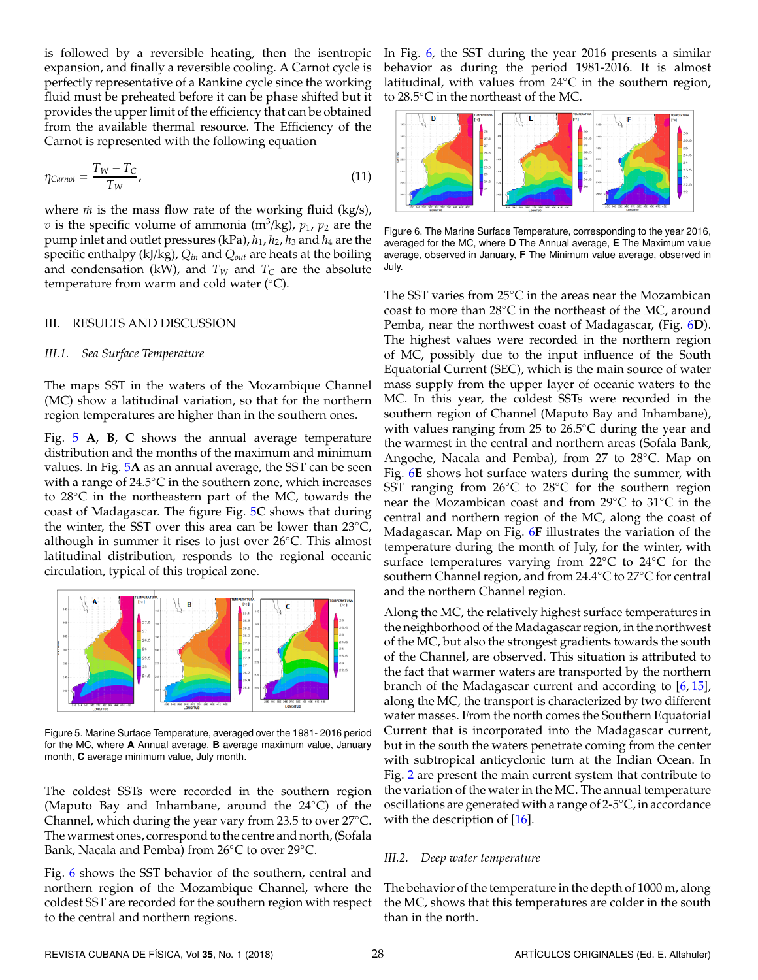is followed by a reversible heating, then the isentropic expansion, and finally a reversible cooling. A Carnot cycle is perfectly representative of a Rankine cycle since the working fluid must be preheated before it can be phase shifted but it provides the upper limit of the efficiency that can be obtained from the available thermal resource. The Efficiency of the Carnot is represented with the following equation

$$
\eta_{Carnot} = \frac{T_W - T_C}{T_W},\tag{11}
$$

where *m*<sup>i</sup> is the mass flow rate of the working fluid (kg/s),  $v$  is the specific volume of ammonia (m $\binom{3}{kg}$ ,  $p_1$ ,  $p_2$  are the pump inlet and outlet pressures (kPa), *h*1, *h*2, *h*<sup>3</sup> and *h*<sup>4</sup> are the specific enthalpy (kJ/kg), *Qin* and *Qout* are heats at the boiling and condensation (kW), and  $T_W$  and  $T_C$  are the absolute temperature from warm and cold water (°C).

#### III. RESULTS AND DISCUSSION

#### *III.1. Sea Surface Temperature*

The maps SST in the waters of the Mozambique Channel (MC) show a latitudinal variation, so that for the northern region temperatures are higher than in the southern ones.

Fig. [5](#page-4-0) **A**, **B**, **C** shows the annual average temperature distribution and the months of the maximum and minimum values. In Fig. [5](#page-4-0)**A** as an annual average, the SST can be seen with a range of  $24.5^{\circ}$ C in the southern zone, which increases to 28◦C in the northeastern part of the MC, towards the coast of Madagascar. The figure Fig. [5](#page-4-0)**C** shows that during the winter, the SST over this area can be lower than 23◦C, although in summer it rises to just over 26◦C. This almost latitudinal distribution, responds to the regional oceanic circulation, typical of this tropical zone.

<span id="page-4-0"></span>

Figure 5. Marine Surface Temperature, averaged over the 1981- 2016 period for the MC, where **A** Annual average, **B** average maximum value, January month, **C** average minimum value, July month.

The coldest SSTs were recorded in the southern region (Maputo Bay and Inhambane, around the 24◦C) of the Channel, which during the year vary from 23.5 to over 27◦C. The warmest ones, correspond to the centre and north, (Sofala Bank, Nacala and Pemba) from 26◦C to over 29◦C.

Fig. [6](#page-4-1) shows the SST behavior of the southern, central and northern region of the Mozambique Channel, where the coldest SST are recorded for the southern region with respect to the central and northern regions.

In Fig. [6,](#page-4-1) the SST during the year 2016 presents a similar behavior as during the period 1981-2016. It is almost latitudinal, with values from 24◦C in the southern region, to 28.5◦C in the northeast of the MC.

<span id="page-4-1"></span>

Figure 6. The Marine Surface Temperature, corresponding to the year 2016, averaged for the MC, where **D** The Annual average, **E** The Maximum value average, observed in January, **F** The Minimum value average, observed in July.

The SST varies from 25◦C in the areas near the Mozambican coast to more than 28◦C in the northeast of the MC, around Pemba, near the northwest coast of Madagascar, (Fig. [6](#page-4-1)**D**). The highest values were recorded in the northern region of MC, possibly due to the input influence of the South Equatorial Current (SEC), which is the main source of water mass supply from the upper layer of oceanic waters to the MC. In this year, the coldest SSTs were recorded in the southern region of Channel (Maputo Bay and Inhambane), with values ranging from 25 to 26.5◦C during the year and the warmest in the central and northern areas (Sofala Bank, Angoche, Nacala and Pemba), from 27 to 28◦C. Map on Fig. [6](#page-4-1)**E** shows hot surface waters during the summer, with SST ranging from 26◦C to 28◦C for the southern region near the Mozambican coast and from 29◦C to 31◦C in the central and northern region of the MC, along the coast of Madagascar. Map on Fig. [6](#page-4-1)**F** illustrates the variation of the temperature during the month of July, for the winter, with surface temperatures varying from 22◦C to 24◦C for the southern Channel region, and from 24.4◦C to 27◦C for central and the northern Channel region.

Along the MC, the relatively highest surface temperatures in the neighborhood of the Madagascar region, in the northwest of the MC, but also the strongest gradients towards the south of the Channel, are observed. This situation is attributed to the fact that warmer waters are transported by the northern branch of the Madagascar current and according to [\[6,](#page-7-5) [15\]](#page-7-13), along the MC, the transport is characterized by two different water masses. From the north comes the Southern Equatorial Current that is incorporated into the Madagascar current, but in the south the waters penetrate coming from the center with subtropical anticyclonic turn at the Indian Ocean. In Fig. [2](#page-2-0) are present the main current system that contribute to the variation of the water in the MC. The annual temperature oscillations are generated with a range of 2-5◦C, in accordance with the description of [\[16\]](#page-7-14).

#### *III.2. Deep water temperature*

The behavior of the temperature in the depth of 1000 m, along the MC, shows that this temperatures are colder in the south than in the north.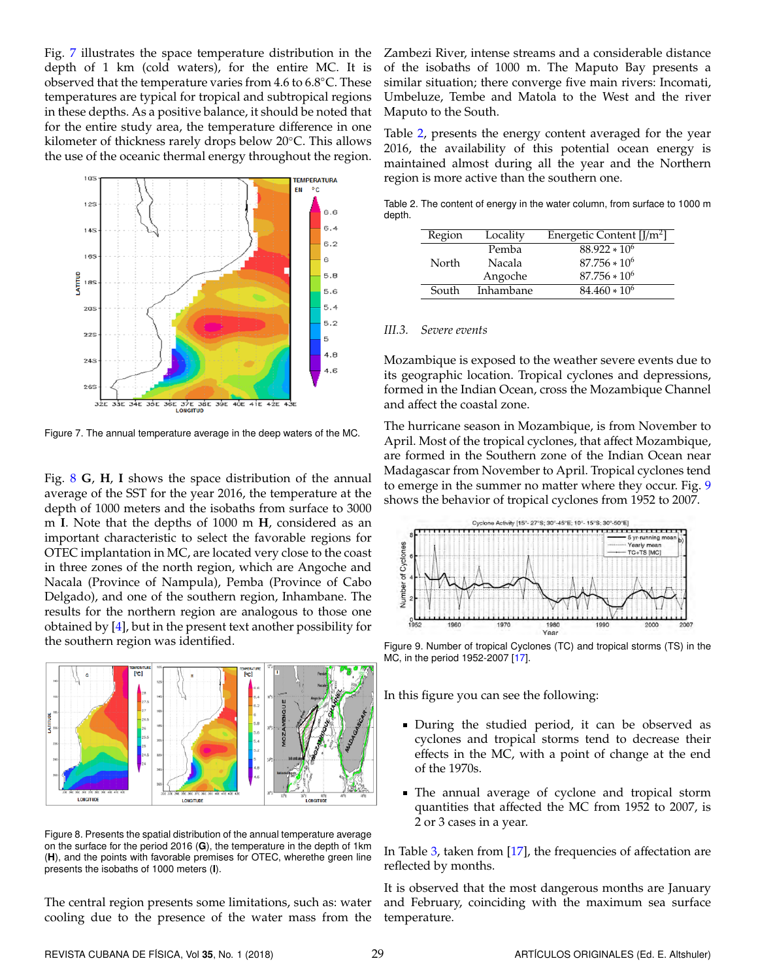Fig. [7](#page-5-0) illustrates the space temperature distribution in the depth of 1 km (cold waters), for the entire MC. It is observed that the temperature varies from 4.6 to 6.8◦C. These temperatures are typical for tropical and subtropical regions in these depths. As a positive balance, it should be noted that for the entire study area, the temperature difference in one kilometer of thickness rarely drops below 20◦C. This allows the use of the oceanic thermal energy throughout the region.

<span id="page-5-0"></span>

Figure 7. The annual temperature average in the deep waters of the MC.

Fig. [8](#page-5-1) **G**, **H**, **I** shows the space distribution of the annual average of the SST for the year 2016, the temperature at the depth of 1000 meters and the isobaths from surface to 3000 m **I**. Note that the depths of 1000 m **H**, considered as an important characteristic to select the favorable regions for OTEC implantation in MC, are located very close to the coast in three zones of the north region, which are Angoche and Nacala (Province of Nampula), Pemba (Province of Cabo Delgado), and one of the southern region, Inhambane. The results for the northern region are analogous to those one obtained by [\[4\]](#page-7-3), but in the present text another possibility for the southern region was identified.

<span id="page-5-1"></span>

Figure 8. Presents the spatial distribution of the annual temperature average on the surface for the period 2016 (**G**), the temperature in the depth of 1km (**H**), and the points with favorable premises for OTEC, wherethe green line presents the isobaths of 1000 meters (**I**).

The central region presents some limitations, such as: water cooling due to the presence of the water mass from the Zambezi River, intense streams and a considerable distance of the isobaths of 1000 m. The Maputo Bay presents a similar situation; there converge five main rivers: Incomati, Umbeluze, Tembe and Matola to the West and the river Maputo to the South.

Table [2,](#page-5-2) presents the energy content averaged for the year 2016, the availability of this potential ocean energy is maintained almost during all the year and the Northern region is more active than the southern one.

<span id="page-5-2"></span>Table 2. The content of energy in the water column, from surface to 1000 m depth.

| Region | Locality      | Energetic Content $[J/m^2]$ |
|--------|---------------|-----------------------------|
|        | Pemba         | $88.922 * 10^6$             |
| North  | <b>Nacala</b> | $87.756 * 10^6$             |
|        | Angoche       | $87.756 * 10^6$             |
| South  | Inhambane     | $84.460 * 10^6$             |

#### *III.3. Severe events*

Mozambique is exposed to the weather severe events due to its geographic location. Tropical cyclones and depressions, formed in the Indian Ocean, cross the Mozambique Channel and affect the coastal zone.

The hurricane season in Mozambique, is from November to April. Most of the tropical cyclones, that affect Mozambique, are formed in the Southern zone of the Indian Ocean near Madagascar from November to April. Tropical cyclones tend to emerge in the summer no matter where they occur. Fig. [9](#page-5-3) shows the behavior of tropical cyclones from 1952 to 2007.

<span id="page-5-3"></span>

Figure 9. Number of tropical Cyclones (TC) and tropical storms (TS) in the MC, in the period 1952-2007 [\[17\]](#page-7-15).

In this figure you can see the following:

- During the studied period, it can be observed as cyclones and tropical storms tend to decrease their effects in the MC, with a point of change at the end of the 1970s.
- The annual average of cyclone and tropical storm quantities that affected the MC from 1952 to 2007, is 2 or 3 cases in a year.

In Table [3,](#page-6-0) taken from [\[17\]](#page-7-15), the frequencies of affectation are reflected by months.

It is observed that the most dangerous months are January and February, coinciding with the maximum sea surface temperature.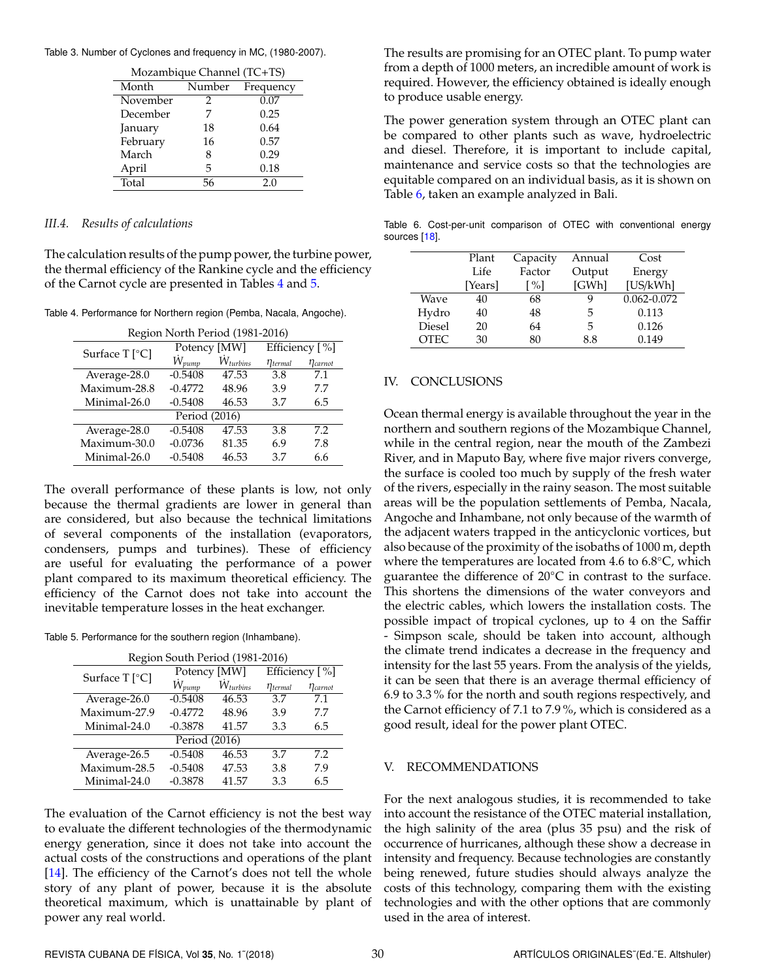<span id="page-6-0"></span>Table 3. Number of Cyclones and frequency in MC, (1980-2007).

| Mozambique Channel (TC+TS) |        |           |  |  |
|----------------------------|--------|-----------|--|--|
| Month                      | Number | Frequency |  |  |
| November                   | 2      | 0.07      |  |  |
| December                   |        | 0.25      |  |  |
| January                    | 18     | 0.64      |  |  |
| February                   | 16     | 0.57      |  |  |
| March                      | 8      | 0.29      |  |  |
| April                      | 5      | 0.18      |  |  |
| Total                      | 56     | 2.0       |  |  |

#### *III.4. Results of calculations*

The calculation results of the pump power, the turbine power, the thermal efficiency of the Rankine cycle and the efficiency of the Carnot cycle are presented in Tables [4](#page-6-1) and [5.](#page-6-2)

<span id="page-6-1"></span>Table 4. Performance for Northern region (Pemba, Nacala, Angoche).

| Region North Period (1981-2016) |              |                     |                          |                 |  |  |
|---------------------------------|--------------|---------------------|--------------------------|-----------------|--|--|
| Surface T [°C]                  | Potency [MW] |                     | Efficiency [%]           |                 |  |  |
|                                 | $W_{pump}$   | $\dot{W}_{turbins}$ | $\eta_{\text{terminal}}$ | $\eta_{carnot}$ |  |  |
| Average-28.0                    | $-0.5408$    | 47.53               | 3.8                      | 7.1             |  |  |
| Maximum-28.8                    | $-0.4772$    | 48.96               | 3.9                      | 7.7             |  |  |
| Minimal-26.0                    | $-0.5408$    | 46.53               | 3.7                      | 6.5             |  |  |
| Period (2016)                   |              |                     |                          |                 |  |  |
| Average- $28.0$                 | $-0.5408$    | 47.53               | 3.8                      | 7.2             |  |  |
| Maximum-30.0                    | $-0.0736$    | 81.35               | 6.9                      | 7.8             |  |  |
| Minimal-26.0                    | $-0.5408$    | 46.53               | 37                       | 6.6             |  |  |

The overall performance of these plants is low, not only because the thermal gradients are lower in general than are considered, but also because the technical limitations of several components of the installation (evaporators, condensers, pumps and turbines). These of efficiency are useful for evaluating the performance of a power plant compared to its maximum theoretical efficiency. The efficiency of the Carnot does not take into account the inevitable temperature losses in the heat exchanger.

<span id="page-6-2"></span>Table 5. Performance for the southern region (Inhambane).

| Region South Period (1981-2016) |              |               |                            |                          |  |  |
|---------------------------------|--------------|---------------|----------------------------|--------------------------|--|--|
| Surface $T$ [ $^{\circ}$ C]     | Potency [MW] |               | Efficiency [%]             |                          |  |  |
|                                 | $W_{pump}$   | $W_{turbins}$ | $\eta_{\textit{terminal}}$ | $\eta$ <sub>carnot</sub> |  |  |
| Average-26.0                    | $-0.5408$    | 46.53         | 3.7                        | 7.1                      |  |  |
| Maximum-27.9                    | $-0.4772$    | 48.96         | 3.9                        | 7.7                      |  |  |
| Minimal-24.0                    | $-0.3878$    | 41.57         | 3.3                        | 6.5                      |  |  |
| Period (2016)                   |              |               |                            |                          |  |  |
| Average-26.5                    | $-0.5408$    | 46.53         | 3.7                        | 7.2                      |  |  |
| Maximum-28.5                    | $-0.5408$    | 47.53         | 3.8                        | 7.9                      |  |  |
| Minimal-24.0                    | $-0.3878$    | 41.57         | 3.3                        | 6.5                      |  |  |

The evaluation of the Carnot efficiency is not the best way to evaluate the different technologies of the thermodynamic energy generation, since it does not take into account the actual costs of the constructions and operations of the plant [\[14\]](#page-7-12). The efficiency of the Carnot's does not tell the whole story of any plant of power, because it is the absolute theoretical maximum, which is unattainable by plant of power any real world.

The results are promising for an OTEC plant. To pump water from a depth of 1000 meters, an incredible amount of work is required. However, the efficiency obtained is ideally enough to produce usable energy.

The power generation system through an OTEC plant can be compared to other plants such as wave, hydroelectric and diesel. Therefore, it is important to include capital, maintenance and service costs so that the technologies are equitable compared on an individual basis, as it is shown on Table [6,](#page-6-3) taken an example analyzed in Bali.

<span id="page-6-3"></span>Table 6. Cost-per-unit comparison of OTEC with conventional energy sources [\[18\]](#page-7-16).

|             | Plant   | Capacity                    | Annual | Cost        |
|-------------|---------|-----------------------------|--------|-------------|
|             | Life    | Factor                      | Output | Energy      |
|             | [Years] | $\lceil \frac{9}{6} \rceil$ | [GWh]  | [US/kWh]    |
| <b>Wave</b> | 40      | 68                          |        | 0.062-0.072 |
| Hydro       | 40      | 48                          | 5      | 0.113       |
| Diesel      | 20      | 64                          | 5      | 0.126       |
| <b>OTEC</b> | 30      | 80                          | 8.8    | 0.149       |

## IV. CONCLUSIONS

Ocean thermal energy is available throughout the year in the northern and southern regions of the Mozambique Channel, while in the central region, near the mouth of the Zambezi River, and in Maputo Bay, where five major rivers converge, the surface is cooled too much by supply of the fresh water of the rivers, especially in the rainy season. The most suitable areas will be the population settlements of Pemba, Nacala, Angoche and Inhambane, not only because of the warmth of the adjacent waters trapped in the anticyclonic vortices, but also because of the proximity of the isobaths of 1000 m, depth where the temperatures are located from 4.6 to 6.8<sup>°</sup>C, which guarantee the difference of 20℃ in contrast to the surface. This shortens the dimensions of the water conveyors and the electric cables, which lowers the installation costs. The possible impact of tropical cyclones, up to 4 on the Saffir - Simpson scale, should be taken into account, although the climate trend indicates a decrease in the frequency and intensity for the last 55 years. From the analysis of the yields, it can be seen that there is an average thermal efficiency of 6.9 to 3.3 % for the north and south regions respectively, and the Carnot efficiency of 7.1 to 7.9 %, which is considered as a good result, ideal for the power plant OTEC.

## V. RECOMMENDATIONS

For the next analogous studies, it is recommended to take into account the resistance of the OTEC material installation, the high salinity of the area (plus 35 psu) and the risk of occurrence of hurricanes, although these show a decrease in intensity and frequency. Because technologies are constantly being renewed, future studies should always analyze the costs of this technology, comparing them with the existing technologies and with the other options that are commonly used in the area of interest.